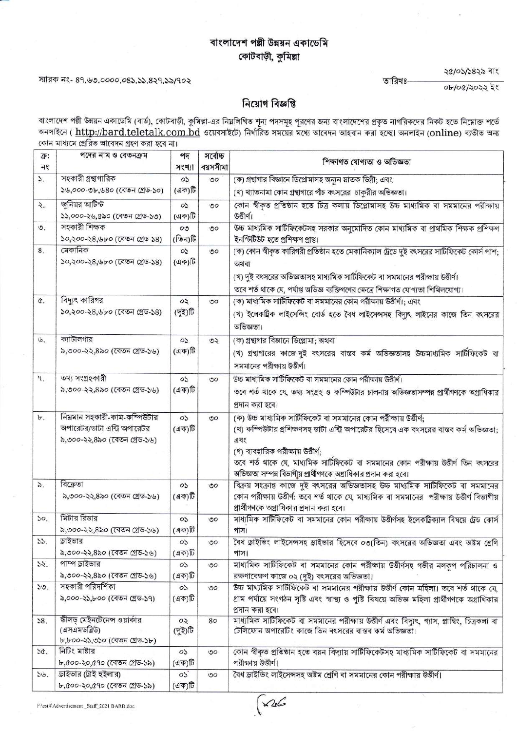# বাংলাদেশ পল্পী উন্নয়ন একাডেমি কোটবাড়ী, কুমিল্লা

#### স্মারক নং- ৪৭.৬৩.০০০০.০৪১.১১.৪২৭.১৯/৭০২

২৫/০১/১৪২৯ বাং

০৮/০৫/২০২২ ইং

তারিখঃ

## নিয়োগ বিজ্ঞপ্তি

বাংলাদেশ পল্লী উন্নয়ন একাডেমি (বার্ড), কোটবাড়ী, কুমিল্লা-এর নিয়লিখিত শূন্য পদসমূহ পূরণের জন্য বাংলাদেশের প্রকৃত নাগরিকদের নিকট হতে নিয়োক্ত শর্তে<br>অনলাইনে ( <u>http://bard.teletalk.com.bd</u> ওয়েবসাইটে) নির্ধারিত সময়ের মধ কোন মাধ্যমে প্ৰেৱিত আবেদন গ্ৰহণ কৰা হবে না।

| ক্র:<br>নং      | পদের নাম ও বেতনক্রম                                                                          | পদ<br>সংখ্যা                          | সৰ্বোচ্চ<br>বয়সসীমা | শিক্ষাগত যোগ্যতা ও অভিজ্ঞতা                                                                                                                                                                                                                                                                                                                                     |
|-----------------|----------------------------------------------------------------------------------------------|---------------------------------------|----------------------|-----------------------------------------------------------------------------------------------------------------------------------------------------------------------------------------------------------------------------------------------------------------------------------------------------------------------------------------------------------------|
| $\mathcal{L}$   | সহকারী গ্রন্থাগারিক                                                                          | $\circ$                               | $50^{\circ}$         | (ক) গ্রন্থাগার বিজ্ঞানে ডিপ্লোমাসহ অন্যন স্নাতক ডিগ্রী; এবং                                                                                                                                                                                                                                                                                                     |
|                 | ১৬,০০০-৩৮,৬৪০ (বেতন গ্রেড-১০)                                                                | (এক)টি                                |                      | (খ) খ্যাতনামা কোন গ্রন্থাগারে পাঁচ বৎসরের চাকুরীর অভিজ্ঞতা।                                                                                                                                                                                                                                                                                                     |
| ২.              | জুনিয়র আটিস্ট<br>১১,০০০-২৬,৫৯০ (বেতন গ্রেড-১৩)                                              | OS.<br>(এক)টি                         | $\circ$              | কোন স্বীকৃত প্রতিষ্ঠান হতে চিত্র কলায় ডিপ্লোমাসহ উচ্চ মাধ্যমিক বা সমমানের পরীক্ষায়<br>উত্তীৰ্ণ।                                                                                                                                                                                                                                                               |
| ৩.              | সহকারী শিক্ষক<br>১০,২০০-২৪,৬৮০ (বেতন গ্রেড-১৪)                                               | $\mathcal{O}(\mathcal{O})$<br>(তিন)টি | $\circ$              | উচ্চ মাধ্যমিক সাটিফিকেটসহ সরকার অনুমোদিত কোন মাধ্যমিক বা প্রাথমিক শিক্ষক প্রশিক্ষণ<br>ইনস্টিটিউট হতে প্ৰশিক্ষণ প্ৰাপ্ত।                                                                                                                                                                                                                                         |
| 8.              | মেকানিক<br>১০,২০০-২৪,৬৮০ (বেতন গ্রেড-১৪)                                                     | $\circ$<br>(এক)টি                     | OQ                   | (ক) কোন স্বীকৃত কারিগরী প্রতিষ্ঠান হতে মেকানিক্যাল ট্রেডে দুই বৎসরের সার্টিফিকেট কোর্স পাশ;<br>অথবা<br>(খ) দুই বৎসরের অভিজ্ঞতাসহ মাধ্যমিক সার্টিফিকেট বা সমমানের পরীক্ষায় উত্তীর্ণ।<br>তবে শর্ত থাকে যে, পর্যাপ্ত অভিজ্ঞ ব্যক্তিগণের ক্ষেত্রে শিক্ষাগত যোগ্যতা শিথিলযোগ্য।                                                                                     |
| ¢.              | বিদ্যুৎ কারিগর<br>১০,২০০-২৪,৬৮০ (বেতন গ্রেড-১৪)                                              | $\infty$<br>(দুই)টি                   | ৩০                   | (ক) মাধ্যমিক সার্টিফিকেট বা সমমানের কোন পরীক্ষায় উত্তীর্ণ।; এবং<br>(খ) ইলেকট্রিক লাইসেন্সিং বোর্ড হতে বৈধ লাইসেন্সসহ বিদ্যুৎ লাইনের কাজে তিন বৎসরের<br>অভিজ্ঞতা।                                                                                                                                                                                               |
| $\mathfrak{b}.$ | ক্যাটালগার<br>৯,৩০০-২২,৪৯০ (বেতন গ্রেড-১৬)                                                   | $\circ$<br>(এক)টি                     | OQ                   | (ক) গ্রন্থাগার বিজ্ঞানে ডিপ্লোমা; অথবা<br>(খ) গ্রন্থাগারের কাজে দুই বৎসরের বাস্তব কর্ম অভিজ্ঞতাসহ উচ্চমাধ্যমিক সার্টিফিকেট বা<br>সমমানের পরীক্ষায় উত্তীর্ণ।                                                                                                                                                                                                    |
| $\mathcal{A}^*$ | তথ্য সংগ্ৰহকারী<br>৯,৩০০-২২,৪৯০ (বেতন গ্রেড-১৬)                                              | CO.<br>(এক)টি                         | $\circ$              | উচ্চ মাধ্যমিক সাটিফিকেট বা সমমানের কোন পরীক্ষায় উত্তীর্ণ।<br>তবে শর্ত থাকে যে, তথ্য সংগ্রহ ও কম্পিউটার চালনায় অভিজ্ঞতাসম্পন্ন প্রার্থীগণকে অগ্রাধিকার<br>প্রদান করা হবে।                                                                                                                                                                                      |
| Ъ.              | নিয়মান সহকারী-কাম-কম্পিউটার<br>অপারেটর/ডাটা এন্ট্রি অপারেটর<br>৯,৩০০-২২,৪৯০ (বেতন গ্রেড-১৬) | $\circ$<br>(এক)টি                     | $\circ$              | (ক) উচ্চ মাধ্যমিক সাটিফিকেট বা সমমানের কোন পরীক্ষায় উত্তীর্ণ;<br>(খ) কম্পিউটার প্রশিক্ষণসহ ডাটা এন্ট্রি অপারেটর হিসেবে এক বৎসরের বাস্তব কর্ম অভিজ্ঞতা;<br>এবং<br>(গ) ব্যবহারিক পরীক্ষায় উত্তীর্ণ;<br>তবে শর্ত থাকে যে, মাধ্যমিক সার্টিফিকেট বা সমমানের কোন পরীক্ষায় উত্তীর্ণ তিন বৎসরের<br>অভিজ্ঞতা সম্পন্ন বিভাগীয় প্রার্থীগণকে অগ্রাধিকার প্রদান করা হবে। |
| $\delta$ .      | বিক্রেতা<br>৯,৩০০-২২,৪৯০ (বেতন গ্রেড-১৬)                                                     | OS.<br>(এক)টি                         | ৩০                   | বিক্রয় সংক্রান্ত কাজে দুই বৎসরের অভিজ্ঞতাসহ উচ্চ মাধ্যমিক সাটিফিকেট বা সমমানের<br>কোন পরীক্ষায় উত্তীর্ণ: তবে শর্ত থাকে যে, মাধ্যমিক বা সমমানের পরীক্ষায় উত্তীর্ণ বিভাগীয়<br>প্রার্থীগণকে অগ্রাধিকার প্রদান করা হবে।                                                                                                                                         |
| 50,             | মিটার রিডার<br>৯,৩০০-২২,৪৯০ (বেতন গ্রেড-১৬)                                                  | OS.<br>(এক)টি                         | 50                   | মাধ্যমিক সার্টিফিকেট বা সমমানের কোন পরীক্ষায় উত্তীর্ণসহ ইলেকট্রিক্যাল বিষয়ে ট্রেড কোর্স<br>পাস।                                                                                                                                                                                                                                                               |
| 55.             | ড়াইভার<br>৯,৩০০-২২,৪৯০ (বেতন গ্রেড-১৬)                                                      | OS.<br>(এক)টি                         | ৩০                   | বৈধ ড্রাইভিং লাইসেন্সসহ ড্রাইভার হিসেবে ০৩(তিন) বৎসরের অভিজ্ঞতা এবং অষ্টম শ্রেণি<br>পাস।                                                                                                                                                                                                                                                                        |
| 32.             | পাম্প ডাইভার<br>৯,৩০০-২২,৪৯০ (বেতন গ্রেড-১৬)                                                 | $\circ$<br>(এক)টি                     | $\mathcal{O}O$       | মাধ্যমিক সাটিফিকেট বা সমমানের কোন পরীক্ষায় উত্তীর্ণসহ গভীর নলকূপ পরিচালনা ও<br>রক্ষণাবেক্ষণ কাজে ০২ (দুই) বৎসরের অভিজ্ঞতা।                                                                                                                                                                                                                                     |
| ১৩.             | সহকারী পরিদর্শিকা<br>৯,০০০-২১,৮০০ (বেতন গ্রেড-১৭)                                            | 05<br>(এক)টি                          | $\circ$              | উচ্চ মাধ্যমিক সাটিফিকেট বা সমমানের পরীক্ষায় উত্তীর্ণ কোন মহিলা। তবে শর্ত থাকে যে,<br>গ্রাম পর্যায়ে সংগঠন সৃষ্টি এবং স্বাস্থ্য ও পুষ্টি বিষয়ে অভিজ্ঞ মহিলা প্রার্থীগণকে অগ্রাধিকার<br>প্রদান করা হবে।                                                                                                                                                         |
| 58.             | স্কীলড় মেইনটেনেন্স ওয়ার্কার<br>(এসএমডব্লিউ)<br>৮,৮০০-২১,৩১০ (বেতন গ্রেড-১৮)                | $\infty$<br>(দুই)টি                   | 80                   | মাধ্যমিক সাটিফিকেট বা সমমানের পরীক্ষায় উত্তীর্ণ এবং বিদ্যুৎ, গ্যাস, প্লাম্বিং, চিত্রকলা বা<br>টেলিফোন অপারেটিং কাজে তিন বৎসরের বাস্তব কর্ম অভিজ্ঞতা।                                                                                                                                                                                                           |
| 36.             | নিটিং মাষ্টার<br>৮,৫০০-২০,৫৭০ (বেতন গ্রেড-১৯)                                                | OS.<br>(এক)টি                         | $\circ$              | কোন স্বীকৃত প্রতিষ্ঠান হতে বয়ন বিদ্যায় সাটিফিকেটসহ মাধ্যমিক সাটিফিকেট বা সমমানের<br>পরীক্ষায় উত্তীর্ণ।                                                                                                                                                                                                                                                       |
| ১৬.             | ড়াইভার (ট্রাই হইলার)<br>৮,৫০০-২০,৫৭০ (বেতন গ্রেড-১৯)                                        | 05<br>(এক)টি                          | $\circ$              | বৈধ ড্রাইভিং লাইসেন্সসহ অষ্টম শ্রেণি বা সমমানের কোন পরীক্ষায় উত্তীর্ণ।                                                                                                                                                                                                                                                                                         |

 $\sim 26$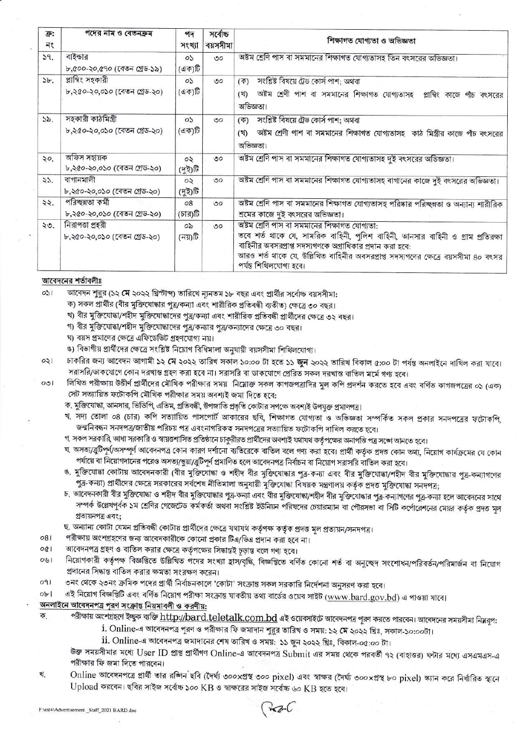| ক্ৰ:<br>নং | পদের নাম ও বেতনক্রম                                | পদ<br>সংখ্যা        | সৰ্বোচ্চ<br>বয়সসীমা | শিক্ষাগত যোগ্যতা ও অভিজ্ঞতা                                                                                                                                                                                                                                                                                  |
|------------|----------------------------------------------------|---------------------|----------------------|--------------------------------------------------------------------------------------------------------------------------------------------------------------------------------------------------------------------------------------------------------------------------------------------------------------|
| 39.        | বাইন্ডার<br>৮,৫০০-২০,৫৭০ (বেতন গ্ৰেড-১৯)           | OS.<br>(এক)টি       | OQ                   | অষ্টম শ্রেণি পাস বা সমমানের শিক্ষাগত যোগ্যতাসহ তিন বৎসরের অভিজ্ঞতা।                                                                                                                                                                                                                                          |
| 5b.        | প্লাম্বিং সহকারী<br>৮,২৫০-২০,০১০ (বেতন গ্ৰেড-২০)   | $\circ$<br>(এক)টি   | $\circ$              | সংশ্লিষ্ট বিষয়ে ট্রেড কোর্স পাশ; অথবা<br>(4)<br>অষ্টম শ্রেণী পাশ বা সমমানের শিক্ষাগত যোগ্যতাসহ প্লাম্বিং কাজে পাঁচ বৎসরের<br>(3)<br>অভিজ্ঞতা।                                                                                                                                                               |
| 55.        | সহকারী কাঠমিস্ত্রী<br>৮,২৫০-২০,০১০ (বেতন গ্ৰেড-২০) | $\circ$<br>(এক)টি   | $\circ$              | সংশ্লিষ্ট বিষয়ে ট্রেড কোর্স পাশ; অথবা<br>কে)<br>অষ্টম শ্রেণী পাশ বা সমমানের শিক্ষাগত যোগ্যতাসহ কাঠ মিস্ত্রীর কাজে পাঁচ বৎসরের<br>(3)<br>অভিজ্ঞতা।                                                                                                                                                           |
| ২০.        | অফিস সহায়ক<br>৮,২৫০-২০,০১০ (বেতন গ্ৰেড-২০)        | $\circ$<br>(দুই)টি  | ৩০                   | অষ্টম শ্রেণি পাস বা সমমানের শিক্ষাগত যোগ্যতাসহ দুই বৎসরের অভিজ্ঞতা।                                                                                                                                                                                                                                          |
| 55.        | বাগানমালী<br>৮,২৫০-২০,০১০ (বেতন গ্রেড-২০)          | $\infty$<br>(দুই)টি | OQ                   | অষ্টম শ্রেণি পাস বা সমমানের শিক্ষাগত যোগ্যতাসহ বাগানের কাজে দুই বৎসরের অভিজ্ঞতা।                                                                                                                                                                                                                             |
| 22.        | পরিচ্ছন্নতা কর্মী<br>৮,২৫০-২০,০১০ (বেতন গ্ৰেড-২০)  | 08<br>(চার)টি       | $\circ$              | অষ্টম শ্রেণি পাস বা সমমানের শিক্ষাগত যোগ্যতাসহ পরিষ্কার পরিচ্ছন্নতা ও অন্যান্য শারীরিক<br>শ্রমের কাজে দুই বৎসরের অভিজ্ঞতা।                                                                                                                                                                                   |
| ২৩.        | নিরাপতা প্রহরী<br>৮.২৫০-২০.০১০ (বেতন গ্ৰেড-২০)     | $\infty$<br>(নয়)টি | OQ                   | অষ্টম শ্রেণি পাস বা সমমানের শিক্ষাগত যোগ্যতা:<br>তবে শর্ত থাকে যে, সামরিক বাহিনী, পুলিশ বাহিনী, আনসার বাহিনী ও গ্রাম প্রতিরক্ষা<br>বাহিনীর অবসরপ্রাপ্ত সদস্যগণকে অগ্রাধিকার প্রদান করা হবে:<br>আরও শর্ত থাকে যে, উল্লিখিত বাহিনীর অবসরপ্রাপ্ত সদস্যগণের ক্ষেত্রে বয়সসীমা ৪০ বৎসর<br>পৰ্যন্ত শিথিলযোগ্য হবে। |

#### আবেদনের শর্তাবলীঃ

 $051$ আবেদন শুরুর (১২ মে ২০২২ খ্রিস্টাব্দ) তারিখে ন্যূনতম ১৮ বছর এবং প্রার্থীর সর্বোচ্চ বয়সসীমা:

- ক) সকল প্রার্থীর (বীর মুক্তিযোদ্ধার পুত্র/কন্যা এবং শারীরিক প্রতিবন্ধী ব্যতীত) ক্ষেত্রে ৩০ বছর।
- খ) বীর মুক্তিযোদ্ধা/শহীদ মুক্তিযোদ্ধাদের পুত্র/কন্যা এবং শারীরিক প্রতিবন্ধী প্রার্থীদের ক্ষেত্রে ৩২ বছর।
- গ) বীর মুক্তিযোদ্ধা/শহীদ মুক্তিযোদ্ধাদের পুত্র/কন্যার পুত্র/কন্যাদের ক্ষেত্রে ৩০ বছর।
- ঘ) বয়স প্রমাণের ক্ষেত্রে এফিডেভিট গ্রহণযোগ্য নয়।
- ঙ) বিভাগীয় প্রার্থীদের ক্ষেত্রে সংশ্লিষ্ট নিয়োগ বিধিমালা অনুযায়ী বয়সসীমা শিথিলযোগ্য।
- চাকরির জন্য আবেদন আগামী ১২ মে ২০২২ তারিখ সকাল ১০:০০ টা হতে ১১ জুন ২০২২ তারিখ বিকাল ৫:০০ টা পর্যন্ত অনলাইনে দাখিল করা যাবে।  $021$ সরাসরি/ডাকযোগে কোন দরখান্ত গ্রহণ করা হবে না। সরাসরি বা ডাকযোগে প্রেরিত সকল দরখান্ত বাতিল মর্মে গণ্য হবে।
- লিখিত পরীক্ষায় উত্তীর্ণ প্রার্থীদের মৌখিক পরীক্ষার সময় নিয়োক্ত সকল কাগজপত্রাদির মুল কপি প্রদর্শন করতে হবে এবং বর্ণিত কাগজপত্রের ০১ (এক)  $001$ সেট সত্যায়িত ফটোকপি মৌখিক পরীক্ষার সময় অবশ্যই জমা দিতে হবে:
	- ক. মুক্তিযোদ্ধা, আনসার, ভিডিপি, এতিম, প্রতিবন্ধী, উপজাতি প্রভৃতি কোটার সপক্ষে অবশ্যই উপযুক্ত প্রমাণপত্র।
	- খ. সদ্য তোলা ০৪ (চার) কপি সত্যায়িত পাসপোর্ট আকারের ছবি, শিক্ষাগত যোগ্যতা ও অভিজ্ঞতা সম্পর্কিত সকল প্রকার সনদপত্রের ফটোকপি, জন্মনিবন্ধন সনদপত্র/জাতীয় পরিচয় পত্র এবংনাগরিকত্ব সনদপত্রের সত্যায়িত ফটোকপি দাখিল করতে হবে।
	- গ. সকল সরকারি, আধা সরকারি ও স্বায়ত্তশাসিত প্রতিষ্ঠানে চাকুরীরত প্রার্থীদের অবশ্যই যথাযথ কর্তৃপক্ষের অনাপত্তি পত্র সজ্ঞো আনতে হবে।
	- ঘ. অসত্য/ব্রুটিপূর্ণ/অসম্পূর্ণ আবেদনপত্র কোন কারণ দর্শানো ব্যতিরেকে বাতিল বলে গণ্য করা হবে। প্রার্থী কর্তৃক প্রদত্ত কোন তথ্য, নিয়োগ কার্যক্রমের যে কোন পর্যায়ে বা নিয়োগদানের পরেও অসত্য/ভুয়া/ব্রুটিপূর্ণ প্রমাণিত হলে আবেদনপত্র নির্বাচন বা নিয়োগ সরাসরি বাতিল করা হবে।
	- ঙ. মুক্তিযোদ্ধা কোটায় আবেদনকারী (বীর মুক্তিযোদ্ধা ও শহীদ বীর মুক্তিযোদ্ধার পুত্র-কন্যা এবং বীর মুক্তিযোদ্ধা/শহীদ বীর মুক্তিযোদ্ধার পুত্র-কন্যাগণের পুত্র-কন্যা) প্রার্থীদের ক্ষেত্রে সরকারের সর্বশেষ নীতিমালা অনুযায়ী মুক্তিযোদ্ধা বিষয়ক মন্ত্রণালয় কর্তৃক প্রদত্ত মুক্তিযোদ্ধা সনদপত্র;
	- চ. আবেদনকারী বীর মুক্তিযোদ্ধা ও শহীদ বীর মুক্তিযোদ্ধার পুত্র-কন্যা এবং বীর মুক্তিযোদ্ধা/শহীদ বীর মুক্তিযোদ্ধার পুত্র-কন্যাগণের পুত্র-কন্যা হলে আবেদনের সাথে সম্পর্ক উল্লেখপূর্বক ১ম শ্রেণির গেজেটেড কর্মকর্তা অথবা সংশ্লিষ্ট ইউনিয়ন পরিষদের চেয়ারম্যান বা পৌরসভা বা সিটি কর্পোরেশনের মেয়র কর্তৃক প্রদত্ত মূল প্ৰত্যয়নপত্ৰ এবং;
	- ছ. অন্যান্য কোটা যেমন প্রতিবন্ধী কোটায় প্রার্থীদের ক্ষেত্রে যথাযথ কর্তৃপক্ষ কর্তৃক প্রদত্ত মূল প্রত্যয়ন/সনদপত্র।
- পরীক্ষায় অংশগ্রহণের জন্য আবেদকারীকে কোনো প্রকার টিএ/ডিএ প্রদান করা হবে না। 081
- আবেদনপত্র গ্রহণ ও বাতিল করার ক্ষেত্রে কর্তৃপক্ষের সিদ্ধান্তই চূড়ান্ত বলে গণ্য হবে।  $001$
- নিয়োগকারী কর্তৃপক্ষ বিজ্ঞপ্তিতে উল্লিখিত পদের সংখ্যা হ্রাস/বৃদ্ধি, বিজ্ঞপ্তিতে বর্ণিত কোনো শর্ত বা অনুচ্ছেদ সংশোধন/পরিবর্তন/পরিমার্জন বা নিয়োগ  $091$ প্রদানের সিদ্ধান্ত বাতিল করার ক্ষমতা সংরক্ষণ করেন।
- ৩নং থেকে ২৩নং ক্রমিক পদের প্রার্থী নির্বাচনকালে 'কোটা' সংক্রান্ত সকল সরকারি নির্দেশনা অনুসরণ করা হবে।  $091$
- এই নিয়োগ বিজ্ঞপ্তিটি এবং বর্ণিত নিয়োগ পরীক্ষা সংক্রান্ত যাবতীয় তথ্য বার্ডের ওয়েব সাইট (www.bard.gov.bd) এ পাওয়া যাবে।  $obl$

#### অনলাইনে আবেদনপত্র পুরণ সংক্রান্ত নিয়মাবলী ও করণীয়:

- পরীক্ষায় অংশগ্রহণে ইচ্ছুক ব্যক্তি <u>http://bard.teletalk.com.bd</u> এই ওয়েবসাইটে আবেদনপত্র পূরণ করতে পারবেন। আবেদনের সময়সীমা নিম্নরূপ: ক.
	- i. Online-এ আবেদনপত্র পূরণ ও পরীক্ষার ফি জমাদান শুরুর তারিখ ও সময়: ১২ মে ২০২২ খ্রিঃ, সকাল-১০:০০টা।
	- $\,$ ii. Online-এ আবেদনপত্র জমাদানের শেষ তারিখ ও সময়: ১১ জুন ২০২২ খ্রিঃ, বিকাল-০৫:০০ টা।
	- উক্ত সময়সীমার মধ্যে User ID প্রাপ্ত প্রার্থীগণ Online-এ আবেদনপত্র Submit এর সময় থেকে পরবর্তী ৭২ (বাহাত্তর) ঘন্টার মধ্যে এসএমএস-এ পরীক্ষার ফি জমা দিতে পারবেন।
- Online আবেদনপত্রে প্রার্থী তার রজিন ছবি (দৈর্ঘ্য ৩০০xপ্রস্থ ৩০০ pixel) এবং স্বাক্ষর (দৈর্ঘ্য ৩০০xপ্রস্থ ৮০ pixel) স্ক্যান করে নির্ধারিত স্থানে খ. Upload করবেন। ছবির সাইজ সর্বোচ্চ ১০০ KB ও স্বাক্ষরের সাইজ সর্বোচ্চ ৬০ KB হতে হবে।

 $(*aC)$